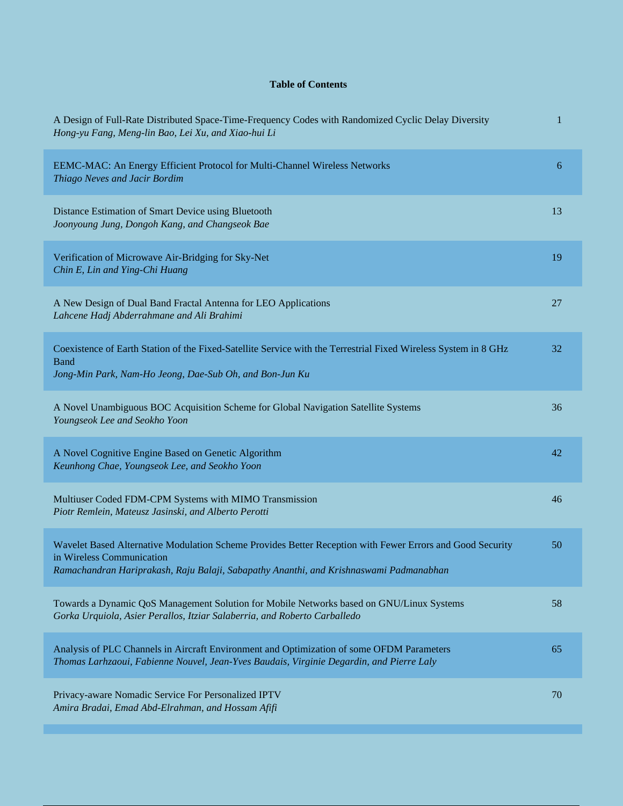## **Table of Contents**

| A Design of Full-Rate Distributed Space-Time-Frequency Codes with Randomized Cyclic Delay Diversity<br>Hong-yu Fang, Meng-lin Bao, Lei Xu, and Xiao-hui Li                                                                       | 1  |
|----------------------------------------------------------------------------------------------------------------------------------------------------------------------------------------------------------------------------------|----|
| EEMC-MAC: An Energy Efficient Protocol for Multi-Channel Wireless Networks<br>Thiago Neves and Jacir Bordim                                                                                                                      | 6  |
| Distance Estimation of Smart Device using Bluetooth<br>Joonyoung Jung, Dongoh Kang, and Changseok Bae                                                                                                                            | 13 |
| Verification of Microwave Air-Bridging for Sky-Net<br>Chin E, Lin and Ying-Chi Huang                                                                                                                                             | 19 |
| A New Design of Dual Band Fractal Antenna for LEO Applications<br>Lahcene Hadj Abderrahmane and Ali Brahimi                                                                                                                      | 27 |
| Coexistence of Earth Station of the Fixed-Satellite Service with the Terrestrial Fixed Wireless System in 8 GHz<br><b>Band</b><br>Jong-Min Park, Nam-Ho Jeong, Dae-Sub Oh, and Bon-Jun Ku                                        | 32 |
| A Novel Unambiguous BOC Acquisition Scheme for Global Navigation Satellite Systems<br>Youngseok Lee and Seokho Yoon                                                                                                              | 36 |
| A Novel Cognitive Engine Based on Genetic Algorithm<br>Keunhong Chae, Youngseok Lee, and Seokho Yoon                                                                                                                             | 42 |
| Multiuser Coded FDM-CPM Systems with MIMO Transmission<br>Piotr Remlein, Mateusz Jasinski, and Alberto Perotti                                                                                                                   | 46 |
| Wavelet Based Alternative Modulation Scheme Provides Better Reception with Fewer Errors and Good Security<br>in Wireless Communication<br>Ramachandran Hariprakash, Raju Balaji, Sabapathy Ananthi, and Krishnaswami Padmanabhan | 50 |
| Towards a Dynamic QoS Management Solution for Mobile Networks based on GNU/Linux Systems<br>Gorka Urquiola, Asier Perallos, Itziar Salaberria, and Roberto Carballedo                                                            | 58 |
| Analysis of PLC Channels in Aircraft Environment and Optimization of some OFDM Parameters<br>Thomas Larhzaoui, Fabienne Nouvel, Jean-Yves Baudais, Virginie Degardin, and Pierre Laly                                            | 65 |
| Privacy-aware Nomadic Service For Personalized IPTV<br>Amira Bradai, Emad Abd-Elrahman, and Hossam Afifi                                                                                                                         | 70 |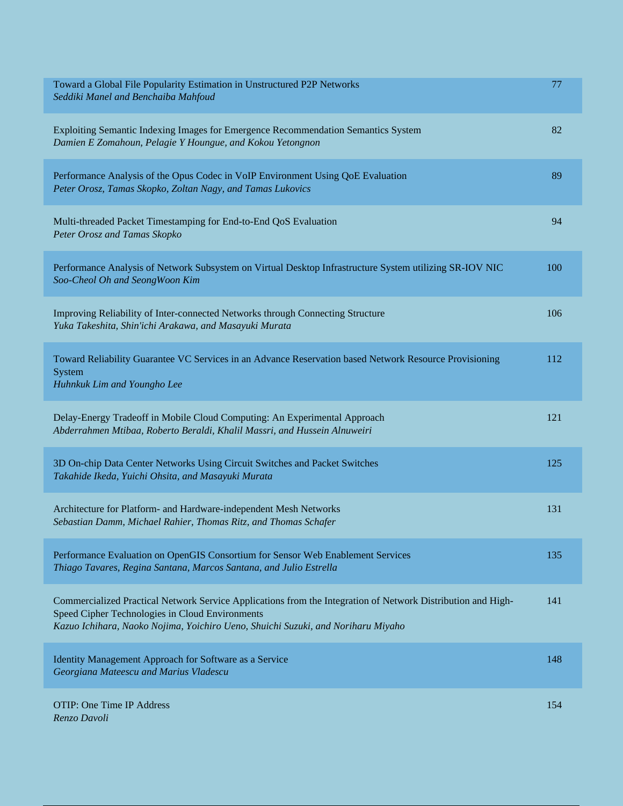| Toward a Global File Popularity Estimation in Unstructured P2P Networks<br>Seddiki Manel and Benchaiba Mahfoud                                                                                                                                      | 77  |
|-----------------------------------------------------------------------------------------------------------------------------------------------------------------------------------------------------------------------------------------------------|-----|
| Exploiting Semantic Indexing Images for Emergence Recommendation Semantics System<br>Damien E Zomahoun, Pelagie Y Houngue, and Kokou Yetongnon                                                                                                      | 82  |
| Performance Analysis of the Opus Codec in VoIP Environment Using QoE Evaluation<br>Peter Orosz, Tamas Skopko, Zoltan Nagy, and Tamas Lukovics                                                                                                       | 89  |
| Multi-threaded Packet Timestamping for End-to-End QoS Evaluation<br>Peter Orosz and Tamas Skopko                                                                                                                                                    | 94  |
| Performance Analysis of Network Subsystem on Virtual Desktop Infrastructure System utilizing SR-IOV NIC<br>Soo-Cheol Oh and SeongWoon Kim                                                                                                           | 100 |
| Improving Reliability of Inter-connected Networks through Connecting Structure<br>Yuka Takeshita, Shin'ichi Arakawa, and Masayuki Murata                                                                                                            | 106 |
| Toward Reliability Guarantee VC Services in an Advance Reservation based Network Resource Provisioning<br>System<br>Huhnkuk Lim and Youngho Lee                                                                                                     | 112 |
| Delay-Energy Tradeoff in Mobile Cloud Computing: An Experimental Approach<br>Abderrahmen Mtibaa, Roberto Beraldi, Khalil Massri, and Hussein Alnuweiri                                                                                              | 121 |
| 3D On-chip Data Center Networks Using Circuit Switches and Packet Switches<br>Takahide Ikeda, Yuichi Ohsita, and Masayuki Murata                                                                                                                    | 125 |
| Architecture for Platform- and Hardware-independent Mesh Networks<br>Sebastian Damm, Michael Rahier, Thomas Ritz, and Thomas Schafer                                                                                                                | 131 |
| Performance Evaluation on OpenGIS Consortium for Sensor Web Enablement Services<br>Thiago Tavares, Regina Santana, Marcos Santana, and Julio Estrella                                                                                               | 135 |
| Commercialized Practical Network Service Applications from the Integration of Network Distribution and High-<br>Speed Cipher Technologies in Cloud Environments<br>Kazuo Ichihara, Naoko Nojima, Yoichiro Ueno, Shuichi Suzuki, and Noriharu Miyaho | 141 |
| Identity Management Approach for Software as a Service<br>Georgiana Mateescu and Marius Vladescu                                                                                                                                                    | 148 |
| <b>OTIP: One Time IP Address</b><br>Renzo Davoli                                                                                                                                                                                                    | 154 |